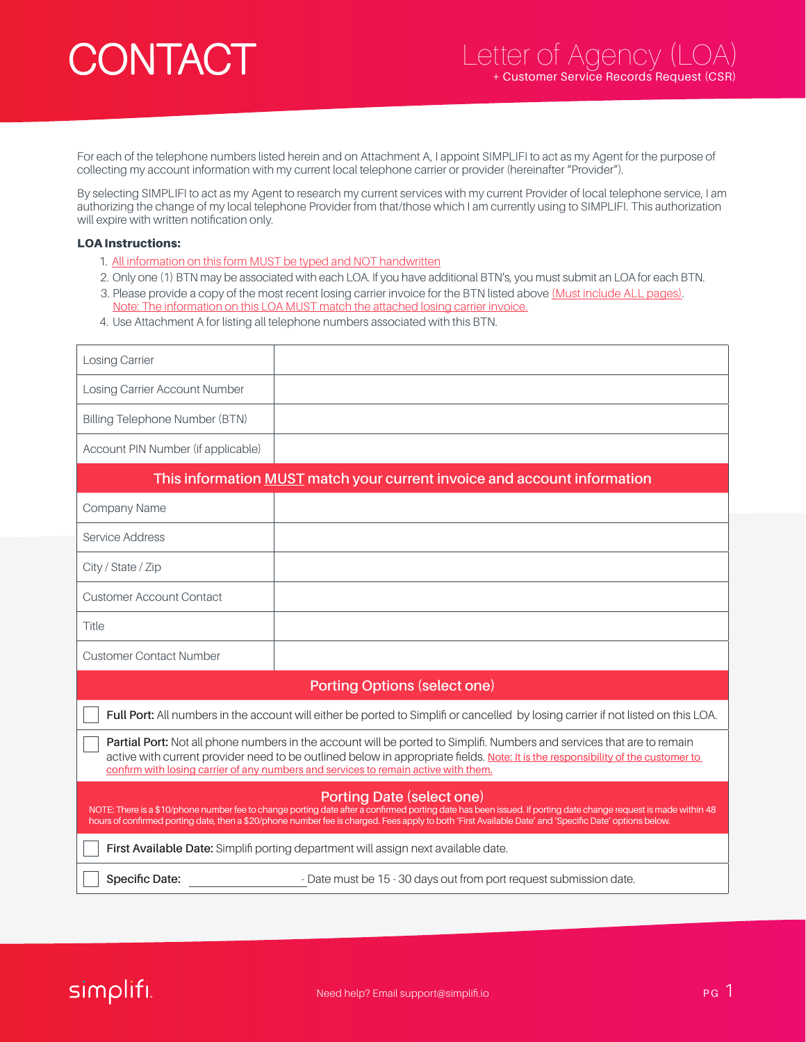## CONTACT

For each of the telephone numbers listed herein and on Attachment A, I appoint SIMPLIFI to act as my Agent for the purpose of collecting my account information with my current local telephone carrier or provider (hereinafter "Provider").

By selecting SIMPLIFI to act as my Agent to research my current services with my current Provider of local telephone service, I am authorizing the change of my local telephone Provider from that/those which I am currently using to SIMPLIFI. This authorization will expire with written notification only.

## LOA Instructions:

- 1. All information on this form MUST be typed and NOT handwritten
- 2. Only one (1) BTN may be associated with each LOA. If you have additional BTN's, you must submit an LOA for each BTN.
- 3. Please provide a copy of the most recent losing carrier invoice for the BTN listed above (Must include ALL pages). Note: The information on this LOA MUST match the attached losing carrier invoice.
- 4. Use Attachment A for listing all telephone numbers associated with this BTN.

| <b>Losing Carrier</b>              |  |
|------------------------------------|--|
| Losing Carrier Account Number      |  |
| Billing Telephone Number (BTN)     |  |
| Account PIN Number (if applicable) |  |

| This information <b>MUST</b> match your current invoice and account information                                                                                                                                                                                                                                                                       |                                                                                                                                   |  |
|-------------------------------------------------------------------------------------------------------------------------------------------------------------------------------------------------------------------------------------------------------------------------------------------------------------------------------------------------------|-----------------------------------------------------------------------------------------------------------------------------------|--|
| Company Name                                                                                                                                                                                                                                                                                                                                          |                                                                                                                                   |  |
| Service Address                                                                                                                                                                                                                                                                                                                                       |                                                                                                                                   |  |
| City / State / Zip                                                                                                                                                                                                                                                                                                                                    |                                                                                                                                   |  |
| <b>Customer Account Contact</b>                                                                                                                                                                                                                                                                                                                       |                                                                                                                                   |  |
| Title                                                                                                                                                                                                                                                                                                                                                 |                                                                                                                                   |  |
| <b>Customer Contact Number</b>                                                                                                                                                                                                                                                                                                                        |                                                                                                                                   |  |
| <b>Porting Options (select one)</b>                                                                                                                                                                                                                                                                                                                   |                                                                                                                                   |  |
|                                                                                                                                                                                                                                                                                                                                                       | Full Port: All numbers in the account will either be ported to Simplifi or cancelled by losing carrier if not listed on this LOA. |  |
| Partial Port: Not all phone numbers in the account will be ported to Simplifi. Numbers and services that are to remain<br>active with current provider need to be outlined below in appropriate fields. Note: It is the responsibility of the customer to<br>confirm with losing carrier of any numbers and services to remain active with them.      |                                                                                                                                   |  |
| Porting Date (select one)<br>NOTE: There is a \$10/phone number fee to change porting date after a confirmed porting date has been issued. If porting date change request is made within 48<br>hours of confirmed porting date, then a \$20/phone number fee is charged. Fees apply to both 'First Available Date' and 'Specific Date' options below. |                                                                                                                                   |  |
| First Available Date: Simplifi porting department will assign next available date.                                                                                                                                                                                                                                                                    |                                                                                                                                   |  |
| Specific Date:                                                                                                                                                                                                                                                                                                                                        | - Date must be 15 - 30 days out from port request submission date.                                                                |  |

## simplifi